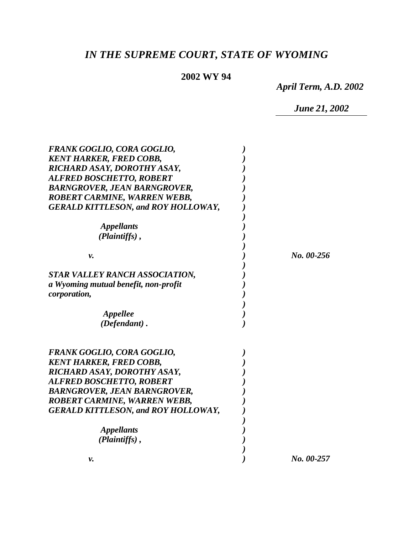# *IN THE SUPREME COURT, STATE OF WYOMING*

## **2002 WY 94**

*April Term, A.D. 2002*

*June 21, 2002*

| <b>FRANK GOGLIO, CORA GOGLIO,</b><br><b>KENT HARKER, FRED COBB,</b><br>RICHARD ASAY, DOROTHY ASAY,<br><b>ALFRED BOSCHETTO, ROBERT</b><br>BARNGROVER, JEAN BARNGROVER,<br><b>ROBERT CARMINE, WARREN WEBB,</b><br><b>GERALD KITTLESON, and ROY HOLLOWAY,</b> |            |
|------------------------------------------------------------------------------------------------------------------------------------------------------------------------------------------------------------------------------------------------------------|------------|
| <i><b>Appellants</b></i>                                                                                                                                                                                                                                   |            |
| (Plaintiffs),                                                                                                                                                                                                                                              |            |
| ν.                                                                                                                                                                                                                                                         | No. 00-256 |
| STAR VALLEY RANCH ASSOCIATION,                                                                                                                                                                                                                             |            |
| a Wyoming mutual benefit, non-profit<br>corporation,                                                                                                                                                                                                       |            |
| Appellee                                                                                                                                                                                                                                                   |            |
| $(Defendant)$ .                                                                                                                                                                                                                                            |            |
| <b>FRANK GOGLIO, CORA GOGLIO,</b>                                                                                                                                                                                                                          |            |
| <b>KENT HARKER, FRED COBB,</b>                                                                                                                                                                                                                             |            |
| RICHARD ASAY, DOROTHY ASAY,                                                                                                                                                                                                                                |            |
| <b>ALFRED BOSCHETTO, ROBERT</b><br><b>BARNGROVER, JEAN BARNGROVER,</b>                                                                                                                                                                                     |            |
| ROBERT CARMINE, WARREN WEBB,                                                                                                                                                                                                                               |            |
| <b>GERALD KITTLESON, and ROY HOLLOWAY,</b>                                                                                                                                                                                                                 |            |
| <i><b>Appellants</b></i>                                                                                                                                                                                                                                   |            |
| (Plaintiffs),                                                                                                                                                                                                                                              |            |
| v.                                                                                                                                                                                                                                                         | No. 00-257 |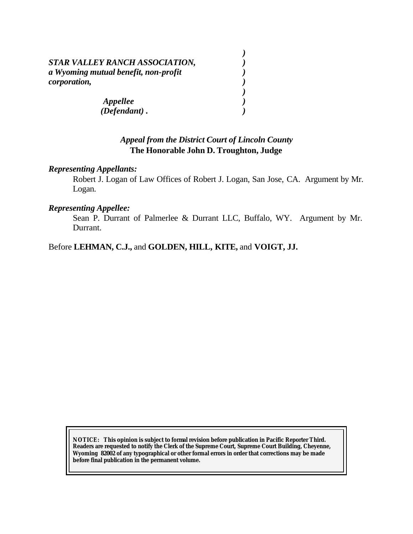| STAR VALLEY RANCH ASSOCIATION,       |  |
|--------------------------------------|--|
| a Wyoming mutual benefit, non-profit |  |
| corporation,                         |  |
|                                      |  |
| Appellee                             |  |
| $(Defendant)$ .                      |  |

## *Appeal from the District Court of Lincoln County* **The Honorable John D. Troughton, Judge**

#### *Representing Appellants:*

Robert J. Logan of Law Offices of Robert J. Logan, San Jose, CA. Argument by Mr. Logan.

#### *Representing Appellee:*

Sean P. Durrant of Palmerlee & Durrant LLC, Buffalo, WY. Argument by Mr. Durrant.

Before **LEHMAN, C.J.,** and **GOLDEN, HILL, KITE,** and **VOIGT, JJ.**

**NOTICE:** *This opinion is subject to formal revision before publication in Pacific Reporter Third. Readers are requested to notify the Clerk of the Supreme Court, Supreme Court Building, Cheyenne, Wyoming 82002 of any typographical or other formal errors in order that corrections may be made before final publication in the permanent volume.*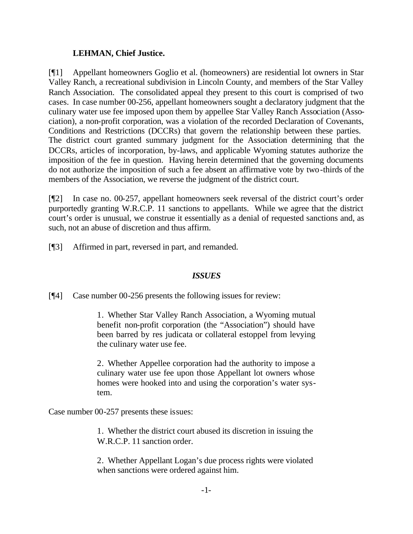## **LEHMAN, Chief Justice.**

[¶1] Appellant homeowners Goglio et al. (homeowners) are residential lot owners in Star Valley Ranch, a recreational subdivision in Lincoln County, and members of the Star Valley Ranch Association. The consolidated appeal they present to this court is comprised of two cases. In case number 00-256, appellant homeowners sought a declaratory judgment that the culinary water use fee imposed upon them by appellee Star Valley Ranch Association (Association), a non-profit corporation, was a violation of the recorded Declaration of Covenants, Conditions and Restrictions (DCCRs) that govern the relationship between these parties. The district court granted summary judgment for the Association determining that the DCCRs, articles of incorporation, by-laws, and applicable Wyoming statutes authorize the imposition of the fee in question. Having herein determined that the governing documents do not authorize the imposition of such a fee absent an affirmative vote by two-thirds of the members of the Association, we reverse the judgment of the district court.

[¶2] In case no. 00-257, appellant homeowners seek reversal of the district court's order purportedly granting W.R.C.P. 11 sanctions to appellants. While we agree that the district court's order is unusual, we construe it essentially as a denial of requested sanctions and, as such, not an abuse of discretion and thus affirm.

[¶3] Affirmed in part, reversed in part, and remanded.

## *ISSUES*

[¶4] Case number 00-256 presents the following issues for review:

1. Whether Star Valley Ranch Association, a Wyoming mutual benefit non-profit corporation (the "Association") should have been barred by res judicata or collateral estoppel from levying the culinary water use fee.

2. Whether Appellee corporation had the authority to impose a culinary water use fee upon those Appellant lot owners whose homes were hooked into and using the corporation's water system.

Case number 00-257 presents these issues:

1. Whether the district court abused its discretion in issuing the W.R.C.P. 11 sanction order.

2. Whether Appellant Logan's due process rights were violated when sanctions were ordered against him.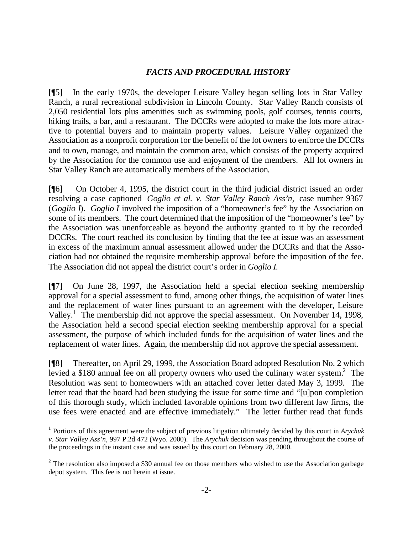## *FACTS AND PROCEDURAL HISTORY*

[¶5] In the early 1970s, the developer Leisure Valley began selling lots in Star Valley Ranch, a rural recreational subdivision in Lincoln County. Star Valley Ranch consists of 2,050 residential lots plus amenities such as swimming pools, golf courses, tennis courts, hiking trails, a bar, and a restaurant. The DCCRs were adopted to make the lots more attractive to potential buyers and to maintain property values. Leisure Valley organized the Association as a nonprofit corporation for the benefit of the lot owners to enforce the DCCRs and to own, manage, and maintain the common area, which consists of the property acquired by the Association for the common use and enjoyment of the members. All lot owners in Star Valley Ranch are automatically members of the Association.

[¶6] On October 4, 1995, the district court in the third judicial district issued an order resolving a case captioned *Goglio et al. v. Star Valley Ranch Ass'n,* case number 9367 (*Goglio I*). *Goglio I* involved the imposition of a "homeowner's fee" by the Association on some of its members. The court determined that the imposition of the "homeowner's fee" by the Association was unenforceable as beyond the authority granted to it by the recorded DCCRs. The court reached its conclusion by finding that the fee at issue was an assessment in excess of the maximum annual assessment allowed under the DCCRs and that the Association had not obtained the requisite membership approval before the imposition of the fee. The Association did not appeal the district court's order in *Goglio I.* 

[¶7] On June 28, 1997, the Association held a special election seeking membership approval for a special assessment to fund, among other things, the acquisition of water lines and the replacement of water lines pursuant to an agreement with the developer, Leisure Valley.<sup>1</sup> The membership did not approve the special assessment. On November 14, 1998, the Association held a second special election seeking membership approval for a special assessment, the purpose of which included funds for the acquisition of water lines and the replacement of water lines. Again, the membership did not approve the special assessment.

[¶8] Thereafter, on April 29, 1999, the Association Board adopted Resolution No. 2 which levied a \$180 annual fee on all property owners who used the culinary water system.<sup>2</sup> The Resolution was sent to homeowners with an attached cover letter dated May 3, 1999. The letter read that the board had been studying the issue for some time and "[u]pon completion of this thorough study, which included favorable opinions from two different law firms, the use fees were enacted and are effective immediately." The letter further read that funds

<sup>1</sup> Portions of this agreement were the subject of previous litigation ultimately decided by this court in *Arychuk v. Star Valley Ass'n,* 997 P.2d 472 (Wyo. 2000). The *Arychuk* decision was pending throughout the course of the proceedings in the instant case and was issued by this court on February 28, 2000.

 $2^{2}$  The resolution also imposed a \$30 annual fee on those members who wished to use the Association garbage depot system. This fee is not herein at issue.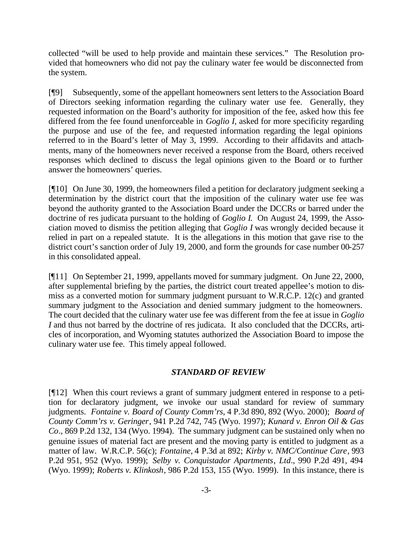collected "will be used to help provide and maintain these services." The Resolution provided that homeowners who did not pay the culinary water fee would be disconnected from the system.

[¶9] Subsequently, some of the appellant homeowners sent letters to the Association Board of Directors seeking information regarding the culinary water use fee. Generally, they requested information on the Board's authority for imposition of the fee, asked how this fee differed from the fee found unenforceable in *Goglio I,* asked for more specificity regarding the purpose and use of the fee, and requested information regarding the legal opinions referred to in the Board's letter of May 3, 1999. According to their affidavits and attachments, many of the homeowners never received a response from the Board, others received responses which declined to discuss the legal opinions given to the Board or to further answer the homeowners' queries.

[¶10] On June 30, 1999, the homeowners filed a petition for declaratory judgment seeking a determination by the district court that the imposition of the culinary water use fee was beyond the authority granted to the Association Board under the DCCRs or barred under the doctrine of res judicata pursuant to the holding of *Goglio I*. On August 24, 1999, the Association moved to dismiss the petition alleging that *Goglio I* was wrongly decided because it relied in part on a repealed statute. It is the allegations in this motion that gave rise to the district court's sanction order of July 19, 2000, and form the grounds for case number 00-257 in this consolidated appeal.

[¶11] On September 21, 1999, appellants moved for summary judgment. On June 22, 2000, after supplemental briefing by the parties, the district court treated appellee's motion to dismiss as a converted motion for summary judgment pursuant to W.R.C.P. 12(c) and granted summary judgment to the Association and denied summary judgment to the homeowners. The court decided that the culinary water use fee was different from the fee at issue in *Goglio I* and thus not barred by the doctrine of res judicata. It also concluded that the DCCRs, articles of incorporation, and Wyoming statutes authorized the Association Board to impose the culinary water use fee. This timely appeal followed.

## *STANDARD OF REVIEW*

[¶12] When this court reviews a grant of summary judgment entered in response to a petition for declaratory judgment, we invoke our usual standard for review of summary judgments. *Fontaine v. Board of County Comm'rs*, 4 P.3d 890, 892 (Wyo. 2000); *Board of County Comm'rs v. Geringer*, 941 P.2d 742, 745 (Wyo. 1997); *Kunard v. Enron Oil & Gas Co*., 869 P.2d 132, 134 (Wyo. 1994). The summary judgment can be sustained only when no genuine issues of material fact are present and the moving party is entitled to judgment as a matter of law. W.R.C.P. 56(c); *Fontaine*, 4 P.3d at 892; *Kirby v. NMC/Continue Care*, 993 P.2d 951, 952 (Wyo. 1999); *Selby v. Conquistador Apartments*, *Ltd*., 990 P.2d 491, 494 (Wyo. 1999); *Roberts v. Klinkosh*, 986 P.2d 153, 155 (Wyo. 1999). In this instance, there is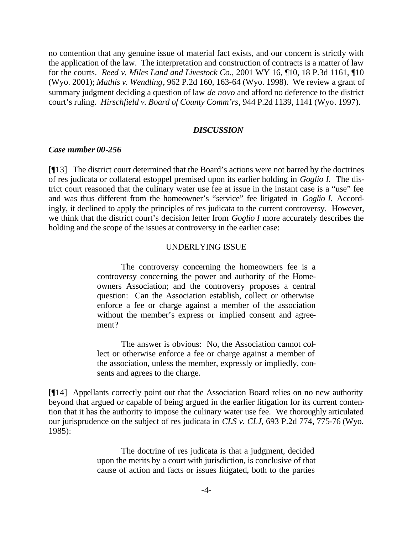no contention that any genuine issue of material fact exists, and our concern is strictly with the application of the law. The interpretation and construction of contracts is a matter of law for the courts. *Reed v. Miles Land and Livestock Co.,* 2001 WY 16, ¶10, 18 P.3d 1161, ¶10 (Wyo. 2001); *Mathis v. Wendling*, 962 P.2d 160, 163-64 (Wyo. 1998). We review a grant of summary judgment deciding a question of law *de novo* and afford no deference to the district court's ruling. *Hirschfield v. Board of County Comm'rs*, 944 P.2d 1139, 1141 (Wyo. 1997).

#### *DISCUSSION*

#### *Case number 00-256*

[¶13] The district court determined that the Board's actions were not barred by the doctrines of res judicata or collateral estoppel premised upon its earlier holding in *Goglio I.* The district court reasoned that the culinary water use fee at issue in the instant case is a "use" fee and was thus different from the homeowner's "service" fee litigated in *Goglio I.* Accordingly, it declined to apply the principles of res judicata to the current controversy. However, we think that the district court's decision letter from *Goglio I* more accurately describes the holding and the scope of the issues at controversy in the earlier case:

#### UNDERLYING ISSUE

The controversy concerning the homeowners fee is a controversy concerning the power and authority of the Homeowners Association; and the controversy proposes a central question: Can the Association establish, collect or otherwise enforce a fee or charge against a member of the association without the member's express or implied consent and agreement?

The answer is obvious: No, the Association cannot collect or otherwise enforce a fee or charge against a member of the association, unless the member, expressly or impliedly, consents and agrees to the charge.

[¶14] Appellants correctly point out that the Association Board relies on no new authority beyond that argued or capable of being argued in the earlier litigation for its current contention that it has the authority to impose the culinary water use fee. We thoroughly articulated our jurisprudence on the subject of res judicata in *CLS v. CLJ,* 693 P.2d 774, 775-76 (Wyo. 1985):

> The doctrine of res judicata is that a judgment, decided upon the merits by a court with jurisdiction, is conclusive of that cause of action and facts or issues litigated, both to the parties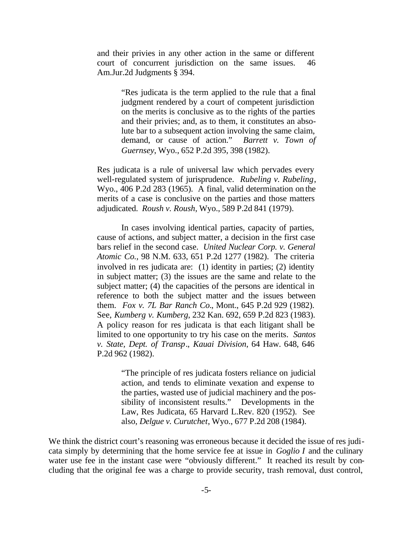and their privies in any other action in the same or different court of concurrent jurisdiction on the same issues. 46 Am.Jur.2d Judgments § 394.

> "Res judicata is the term applied to the rule that a final judgment rendered by a court of competent jurisdiction on the merits is conclusive as to the rights of the parties and their privies; and, as to them, it constitutes an absolute bar to a subsequent action involving the same claim, demand, or cause of action." *Barrett v. Town of Guernsey*, Wyo., 652 P.2d 395, 398 (1982).

Res judicata is a rule of universal law which pervades every well-regulated system of jurisprudence. *Rubeling v. Rubeling*, Wyo., 406 P.2d 283 (1965). A final, valid determination on the merits of a case is conclusive on the parties and those matters adjudicated. *Roush v. Roush*, Wyo., 589 P.2d 841 (1979).

In cases involving identical parties, capacity of parties, cause of actions, and subject matter, a decision in the first case bars relief in the second case. *United Nuclear Corp. v. General Atomic Co.,* 98 N.M. 633, 651 P.2d 1277 (1982). The criteria involved in res judicata are: (1) identity in parties; (2) identity in subject matter; (3) the issues are the same and relate to the subject matter; (4) the capacities of the persons are identical in reference to both the subject matter and the issues between them. *Fox v. 7L Bar Ranch Co.*, Mont., 645 P.2d 929 (1982). See, *Kumberg v. Kumberg*, 232 Kan. 692, 659 P.2d 823 (1983). A policy reason for res judicata is that each litigant shall be limited to one opportunity to try his case on the merits. *Santos v. State, Dept. of Transp*., *Kauai Division*, 64 Haw. 648, 646 P.2d 962 (1982).

> "The principle of res judicata fosters reliance on judicial action, and tends to eliminate vexation and expense to the parties, wasted use of judicial machinery and the possibility of inconsistent results." Developments in the Law, Res Judicata, 65 Harvard L.Rev. 820 (1952). See also, *Delgue v. Curutchet*, Wyo., 677 P.2d 208 (1984).

We think the district court's reasoning was erroneous because it decided the issue of res judicata simply by determining that the home service fee at issue in *Goglio I* and the culinary water use fee in the instant case were "obviously different." It reached its result by concluding that the original fee was a charge to provide security, trash removal, dust control,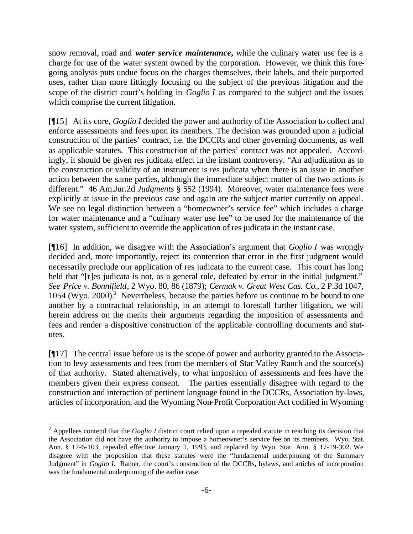snow removal, road and *water service maintenance***,** while the culinary water use fee is a charge for use of the water system owned by the corporation. However, we think this foregoing analysis puts undue focus on the charges themselves, their labels, and their purported uses, rather than more fittingly focusing on the subject of the previous litigation and the scope of the district court's holding in *Goglio I* as compared to the subject and the issues which comprise the current litigation.

[¶15] At its core, *Goglio I* decided the power and authority of the Association to collect and enforce assessments and fees upon its members. The decision was grounded upon a judicial construction of the parties' contract, i.e. the DCCRs and other governing documents, as well as applicable statutes. This construction of the parties' contract was not appealed. Accordingly, it should be given res judicata effect in the instant controversy. "An adjudication as to the construction or validity of an instrument is res judicata when there is an issue in another action between the same parties, although the immediate subject matter of the two actions is different." 46 Am.Jur.2d *Judgments* § 552 (1994). Moreover, water maintenance fees were explicitly at issue in the previous case and again are the subject matter currently on appeal. We see no legal distinction between a "homeowner's service fee" which includes a charge for water maintenance and a "culinary water use fee" to be used for the maintenance of the water system, sufficient to override the application of res judicata in the instant case.

[¶16] In addition, we disagree with the Association's argument that *Goglio I* was wrongly decided and, more importantly, reject its contention that error in the first judgment would necessarily preclude our application of res judicata to the current case. This court has long held that "[r]es judicata is not, as a general rule, defeated by error in the initial judgment." *See Price v. Bonnifield*, 2 Wyo. 80, 86 (1879); *Cermak v. Great West Cas. Co.,* 2 P.3d 1047, 1054 (Wyo. 2000).<sup>3</sup> Nevertheless, because the parties before us continue to be bound to one another by a contractual relationship, in an attempt to forestall further litigation, we will herein address on the merits their arguments regarding the imposition of assessments and fees and render a dispositive construction of the applicable controlling documents and statutes.

[¶17] The central issue before us is the scope of power and authority granted to the Association to levy assessments and fees from the members of Star Valley Ranch and the source(s) of that authority. Stated alternatively, to what imposition of assessments and fees have the members given their express consent. The parties essentially disagree with regard to the construction and interaction of pertinent language found in the DCCRs, Association by-laws, articles of incorporation, and the Wyoming Non-Profit Corporation Act codified in Wyoming

<sup>&</sup>lt;sup>3</sup> Appellees contend that the *Goglio I* district court relied upon a repealed statute in reaching its decision that the Association did not have the authority to impose a homeowner's service fee on its members. Wyo. Stat. Ann. § 17-6-103, repealed effective January 1, 1993, and replaced by Wyo. Stat. Ann. § 17-19-302. We disagree with the proposition that these statutes were the "fundamental underpinning of the Summary Judgment" in *Goglio I.* Rather, the court's construction of the DCCRs, bylaws, and articles of incorporation was the fundamental underpinning of the earlier case.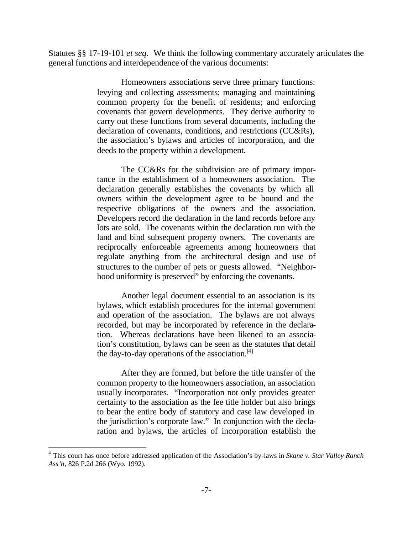Statutes §§ 17-19-101 *et seq.* We think the following commentary accurately articulates the general functions and interdependence of the various documents:

> Homeowners associations serve three primary functions: levying and collecting assessments; managing and maintaining common property for the benefit of residents; and enforcing covenants that govern developments. They derive authority to carry out these functions from several documents, including the declaration of covenants, conditions, and restrictions (CC&Rs), the association's bylaws and articles of incorporation, and the deeds to the property within a development.

> The CC&Rs for the subdivision are of primary importance in the establishment of a homeowners association. The declaration generally establishes the covenants by which all owners within the development agree to be bound and the respective obligations of the owners and the association. Developers record the declaration in the land records before any lots are sold. The covenants within the declaration run with the land and bind subsequent property owners. The covenants are reciprocally enforceable agreements among homeowners that regulate anything from the architectural design and use of structures to the number of pets or guests allowed. "Neighborhood uniformity is preserved" by enforcing the covenants.

> Another legal document essential to an association is its bylaws, which establish procedures for the internal government and operation of the association. The bylaws are not always recorded, but may be incorporated by reference in the declaration. Whereas declarations have been likened to an association's constitution, bylaws can be seen as the statutes that detail the day-to-day operations of the association. $[4]$

> After they are formed, but before the title transfer of the common property to the homeowners association, an association usually incorporates. "Incorporation not only provides greater certainty to the association as the fee title holder but also brings to bear the entire body of statutory and case law developed in the jurisdiction's corporate law." In conjunction with the declaration and bylaws, the articles of incorporation establish the

<sup>4</sup> This court has once before addressed application of the Association's by-laws in *Skane v. Star Valley Ranch Ass'n,* 826 P.2d 266 (Wyo. 1992).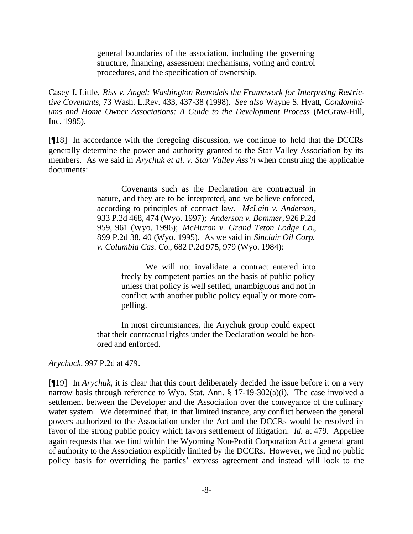general boundaries of the association, including the governing structure, financing, assessment mechanisms, voting and control procedures, and the specification of ownership.

Casey J. Little, *Riss v. Angel: Washington Remodels the Framework for Interpretng Restrictive Covenants,* 73 Wash. L.Rev. 433, 437-38 (1998). *See also* Wayne S. Hyatt, *Condominiums and Home Owner Associations: A Guide to the Development Process* (McGraw-Hill, Inc. 1985).

[¶18] In accordance with the foregoing discussion, we continue to hold that the DCCRs generally determine the power and authority granted to the Star Valley Association by its members. As we said in *Arychuk et al. v. Star Valley Ass'n* when construing the applicable documents:

> Covenants such as the Declaration are contractual in nature, and they are to be interpreted, and we believe enforced, according to principles of contract law. *McLain v. Anderson*, 933 P.2d 468, 474 (Wyo. 1997); *Anderson v. Bommer*, 926 P.2d 959, 961 (Wyo. 1996); *McHuron v. Grand Teton Lodge Co.*, 899 P.2d 38, 40 (Wyo. 1995). As we said in *Sinclair Oil Corp. v. Columbia Cas. Co.*, 682 P.2d 975, 979 (Wyo. 1984):

> > We will not invalidate a contract entered into freely by competent parties on the basis of public policy unless that policy is well settled, unambiguous and not in conflict with another public policy equally or more compelling.

In most circumstances, the Arychuk group could expect that their contractual rights under the Declaration would be honored and enforced.

*Arychuck,* 997 P.2d at 479.

[¶19] In *Arychuk,* it is clear that this court deliberately decided the issue before it on a very narrow basis through reference to Wyo. Stat. Ann. § 17-19-302(a)(i). The case involved a settlement between the Developer and the Association over the conveyance of the culinary water system. We determined that, in that limited instance, any conflict between the general powers authorized to the Association under the Act and the DCCRs would be resolved in favor of the strong public policy which favors settlement of litigation. *Id.* at 479. Appellee again requests that we find within the Wyoming Non-Profit Corporation Act a general grant of authority to the Association explicitly limited by the DCCRs. However, we find no public policy basis for overriding the parties' express agreement and instead will look to the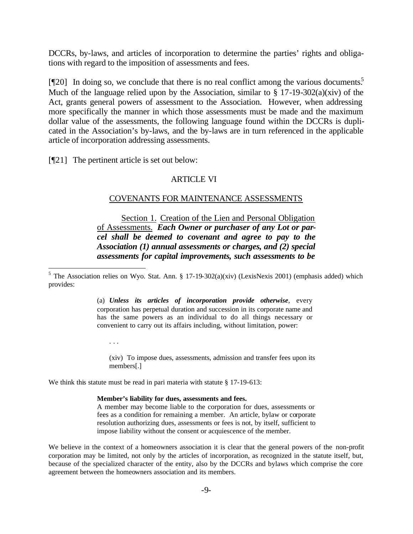DCCRs, by-laws, and articles of incorporation to determine the parties' rights and obligations with regard to the imposition of assessments and fees.

[¶20] In doing so, we conclude that there is no real conflict among the various documents.<sup>5</sup> Much of the language relied upon by the Association, similar to  $\S 17$ -19-302(a)(xiv) of the Act, grants general powers of assessment to the Association. However, when addressing more specifically the manner in which those assessments must be made and the maximum dollar value of the assessments, the following language found within the DCCRs is duplicated in the Association's by-laws, and the by-laws are in turn referenced in the applicable article of incorporation addressing assessments.

[¶21] The pertinent article is set out below:

. . .

#### ARTICLE VI

#### COVENANTS FOR MAINTENANCE ASSESSMENTS

Section 1. Creation of the Lien and Personal Obligation of Assessments. *Each Owner or purchaser of any Lot or parcel shall be deemed to covenant and agree to pay to the Association (1) annual assessments or charges, and (2) special assessments for capital improvements, such assessments to be* 

<sup>5</sup> The Association relies on Wyo. Stat. Ann. § 17-19-302(a)(xiv) (LexisNexis 2001) (emphasis added) which provides:

> (a) *Unless its articles of incorporation provide otherwise,* every corporation has perpetual duration and succession in its corporate name and has the same powers as an individual to do all things necessary or convenient to carry out its affairs including, without limitation, power:

(xiv) To impose dues, assessments, admission and transfer fees upon its members[.]

We think this statute must be read in pari materia with statute § 17-19-613:

#### **Member's liability for dues, assessments and fees.**

A member may become liable to the corporation for dues, assessments or fees as a condition for remaining a member. An article, bylaw or corporate resolution authorizing dues, assessments or fees is not, by itself, sufficient to impose liability without the consent or acquiescence of the member.

We believe in the context of a homeowners association it is clear that the general powers of the non-profit corporation may be limited, not only by the articles of incorporation, as recognized in the statute itself, but, because of the specialized character of the entity, also by the DCCRs and bylaws which comprise the core agreement between the homeowners association and its members.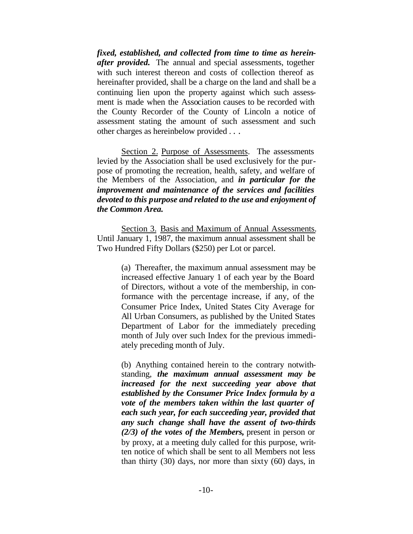*fixed, established, and collected from time to time as hereinafter provided.* The annual and special assessments, together with such interest thereon and costs of collection thereof as hereinafter provided, shall be a charge on the land and shall be a continuing lien upon the property against which such assessment is made when the Association causes to be recorded with the County Recorder of the County of Lincoln a notice of assessment stating the amount of such assessment and such other charges as hereinbelow provided . . .

Section 2. Purpose of Assessments. The assessments levied by the Association shall be used exclusively for the purpose of promoting the recreation, health, safety, and welfare of the Members of the Association, and *in particular for the improvement and maintenance of the services and facilities devoted to this purpose and related to the use and enjoyment of the Common Area.* 

Section 3. Basis and Maximum of Annual Assessments. Until January 1, 1987, the maximum annual assessment shall be Two Hundred Fifty Dollars (\$250) per Lot or parcel.

> (a) Thereafter, the maximum annual assessment may be increased effective January 1 of each year by the Board of Directors, without a vote of the membership, in conformance with the percentage increase, if any, of the Consumer Price Index, United States City Average for All Urban Consumers, as published by the United States Department of Labor for the immediately preceding month of July over such Index for the previous immediately preceding month of July.

> (b) Anything contained herein to the contrary notwithstanding, *the maximum annual assessment may be increased for the next succeeding year above that established by the Consumer Price Index formula by a vote of the members taken within the last quarter of each such year, for each succeeding year, provided that any such change shall have the assent of two-thirds (2/3) of the votes of the Members,* present in person or by proxy, at a meeting duly called for this purpose, written notice of which shall be sent to all Members not less than thirty (30) days, nor more than sixty (60) days, in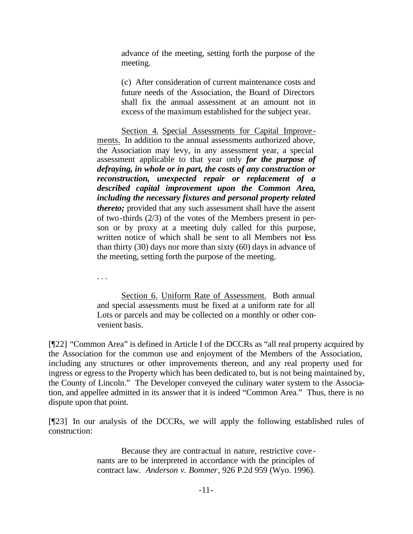advance of the meeting, setting forth the purpose of the meeting.

(c) After consideration of current maintenance costs and future needs of the Association, the Board of Directors shall fix the annual assessment at an amount not in excess of the maximum established for the subject year.

Section 4. Special Assessments for Capital Improvements. In addition to the annual assessments authorized above, the Association may levy, in any assessment year, a special assessment applicable to that year only *for the purpose of defraying, in whole or in part, the costs of any construction or reconstruction, unexpected repair or replacement of a described capital improvement upon the Common Area, including the necessary fixtures and personal property related thereto;* provided that any such assessment shall have the assent of two-thirds (2/3) of the votes of the Members present in person or by proxy at a meeting duly called for this purpose, written notice of which shall be sent to all Members not less than thirty (30) days nor more than sixty (60) days in advance of the meeting, setting forth the purpose of the meeting.

. . .

Section 6. Uniform Rate of Assessment. Both annual and special assessments must be fixed at a uniform rate for all Lots or parcels and may be collected on a monthly or other convenient basis.

[¶22] "Common Area" is defined in Article I of the DCCRs as "all real property acquired by the Association for the common use and enjoyment of the Members of the Association, including any structures or other improvements thereon, and any real property used for ingress or egress to the Property which has been dedicated to, but is not being maintained by, the County of Lincoln." The Developer conveyed the culinary water system to the Association, and appellee admitted in its answer that it is indeed "Common Area." Thus, there is no dispute upon that point.

[¶23] In our analysis of the DCCRs, we will apply the following established rules of construction:

> Because they are contractual in nature, restrictive covenants are to be interpreted in accordance with the principles of contract law. *Anderson v. Bommer*, 926 P.2d 959 (Wyo. 1996).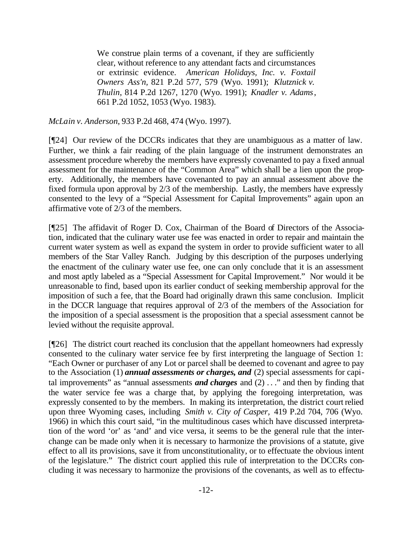We construe plain terms of a covenant, if they are sufficiently clear, without reference to any attendant facts and circumstances or extrinsic evidence. *American Holidays, Inc. v. Foxtail Owners Ass'n,* 821 P.2d 577, 579 (Wyo. 1991); *Klutznick v. Thulin*, 814 P.2d 1267, 1270 (Wyo. 1991); *Knadler v. Adams*, 661 P.2d 1052, 1053 (Wyo. 1983).

*McLain v. Anderson*, 933 P.2d 468, 474 (Wyo. 1997).

[¶24] Our review of the DCCRs indicates that they are unambiguous as a matter of law. Further, we think a fair reading of the plain language of the instrument demonstrates an assessment procedure whereby the members have expressly covenanted to pay a fixed annual assessment for the maintenance of the "Common Area" which shall be a lien upon the property. Additionally, the members have covenanted to pay an annual assessment above the fixed formula upon approval by 2/3 of the membership. Lastly, the members have expressly consented to the levy of a "Special Assessment for Capital Improvements" again upon an affirmative vote of 2/3 of the members.

[¶25] The affidavit of Roger D. Cox, Chairman of the Board of Directors of the Association, indicated that the culinary water use fee was enacted in order to repair and maintain the current water system as well as expand the system in order to provide sufficient water to all members of the Star Valley Ranch. Judging by this description of the purposes underlying the enactment of the culinary water use fee, one can only conclude that it is an assessment and most aptly labeled as a "Special Assessment for Capital Improvement." Nor would it be unreasonable to find, based upon its earlier conduct of seeking membership approval for the imposition of such a fee, that the Board had originally drawn this same conclusion. Implicit in the DCCR language that requires approval of 2/3 of the members of the Association for the imposition of a special assessment is the proposition that a special assessment cannot be levied without the requisite approval.

[¶26] The district court reached its conclusion that the appellant homeowners had expressly consented to the culinary water service fee by first interpreting the language of Section 1: "Each Owner or purchaser of any Lot or parcel shall be deemed to covenant and agree to pay to the Association (1) *annual assessments or charges, and* (2) special assessments for capital improvements" as "annual assessments *and charges* and (2) . . ." and then by finding that the water service fee was a charge that, by applying the foregoing interpretation, was expressly consented to by the members. In making its interpretation, the district court relied upon three Wyoming cases, including *Smith v. City of Casper,* 419 P.2d 704, 706 (Wyo. 1966) in which this court said, "in the multitudinous cases which have discussed interpretation of the word 'or' as 'and' and vice versa, it seems to be the general rule that the interchange can be made only when it is necessary to harmonize the provisions of a statute, give effect to all its provisions, save it from unconstitutionality, or to effectuate the obvious intent of the legislature." The district court applied this rule of interpretation to the DCCRs concluding it was necessary to harmonize the provisions of the covenants, as well as to effectu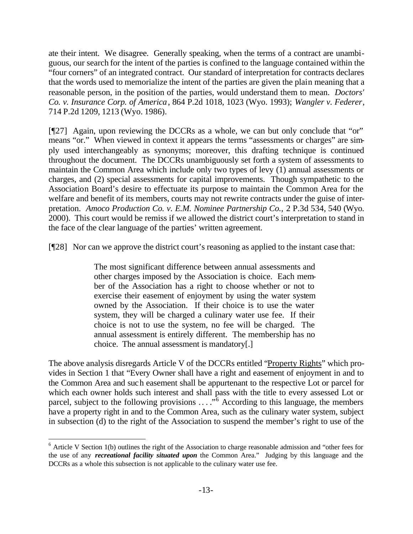ate their intent. We disagree. Generally speaking, when the terms of a contract are unambiguous, our search for the intent of the parties is confined to the language contained within the "four corners" of an integrated contract. Our standard of interpretation for contracts declares that the words used to memorialize the intent of the parties are given the plain meaning that a reasonable person, in the position of the parties, would understand them to mean. *Doctors' Co. v. Insurance Corp. of America*, 864 P.2d 1018, 1023 (Wyo. 1993); *Wangler v. Federer*, 714 P.2d 1209, 1213 (Wyo. 1986).

[¶27] Again, upon reviewing the DCCRs as a whole, we can but only conclude that "or" means "or." When viewed in context it appears the terms "assessments or charges" are simply used interchangeably as synonyms; moreover, this drafting technique is continued throughout the document. The DCCRs unambiguously set forth a system of assessments to maintain the Common Area which include only two types of levy (1) annual assessments or charges, and (2) special assessments for capital improvements. Though sympathetic to the Association Board's desire to effectuate its purpose to maintain the Common Area for the welfare and benefit of its members, courts may not rewrite contracts under the guise of interpretation. *Amoco Production Co. v. E.M. Nominee Partnership Co.,* 2 P.3d 534, 540 (Wyo. 2000). This court would be remiss if we allowed the district court's interpretation to stand in the face of the clear language of the parties' written agreement.

[¶28] Nor can we approve the district court's reasoning as applied to the instant case that:

The most significant difference between annual assessments and other charges imposed by the Association is choice. Each member of the Association has a right to choose whether or not to exercise their easement of enjoyment by using the water system owned by the Association. If their choice is to use the water system, they will be charged a culinary water use fee. If their choice is not to use the system, no fee will be charged. The annual assessment is entirely different. The membership has no choice. The annual assessment is mandatory[.]

The above analysis disregards Article V of the DCCRs entitled "Property Rights" which provides in Section 1 that "Every Owner shall have a right and easement of enjoyment in and to the Common Area and such easement shall be appurtenant to the respective Lot or parcel for which each owner holds such interest and shall pass with the title to every assessed Lot or parcel, subject to the following provisions  $\ldots$ <sup>5</sup> According to this language, the members have a property right in and to the Common Area, such as the culinary water system, subject in subsection (d) to the right of the Association to suspend the member's right to use of the

<sup>&</sup>lt;sup>6</sup> Article V Section 1(b) outlines the right of the Association to charge reasonable admission and "other fees for the use of any *recreational facility situated upon* the Common Area." Judging by this language and the DCCRs as a whole this subsection is not applicable to the culinary water use fee.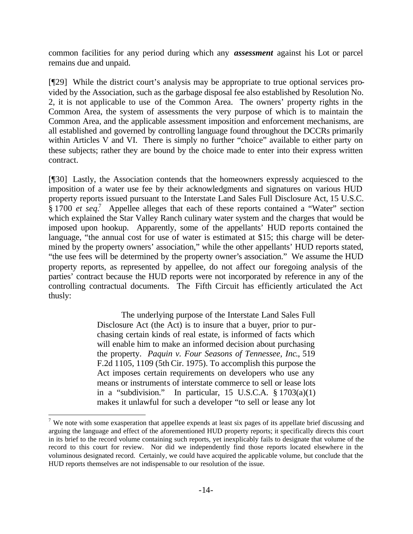common facilities for any period during which any *assessment* against his Lot or parcel remains due and unpaid.

[¶29] While the district court's analysis may be appropriate to true optional services provided by the Association, such as the garbage disposal fee also established by Resolution No. 2, it is not applicable to use of the Common Area. The owners' property rights in the Common Area, the system of assessments the very purpose of which is to maintain the Common Area, and the applicable assessment imposition and enforcement mechanisms, are all established and governed by controlling language found throughout the DCCRs primarily within Articles V and VI. There is simply no further "choice" available to either party on these subjects; rather they are bound by the choice made to enter into their express written contract.

[¶30] Lastly, the Association contends that the homeowners expressly acquiesced to the imposition of a water use fee by their acknowledgments and signatures on various HUD property reports issued pursuant to the Interstate Land Sales Full Disclosure Act, 15 U.S.C. § 1700 *et seq*.<sup>7</sup> Appellee alleges that each of these reports contained a "Water" section which explained the Star Valley Ranch culinary water system and the charges that would be imposed upon hookup. Apparently, some of the appellants' HUD reports contained the language, "the annual cost for use of water is estimated at \$15; this charge will be determined by the property owners' association," while the other appellants' HUD reports stated, "the use fees will be determined by the property owner's association." We assume the HUD property reports, as represented by appellee, do not affect our foregoing analysis of the parties' contract because the HUD reports were not incorporated by reference in any of the controlling contractual documents. The Fifth Circuit has efficiently articulated the Act thusly:

> The underlying purpose of the Interstate Land Sales Full Disclosure Act (the Act) is to insure that a buyer, prior to purchasing certain kinds of real estate, is informed of facts which will enable him to make an informed decision about purchasing the property. *Paquin v. Four Seasons of Tennessee, Inc*., 519 F.2d 1105, 1109 (5th Cir. 1975). To accomplish this purpose the Act imposes certain requirements on developers who use any means or instruments of interstate commerce to sell or lease lots in a "subdivision." In particular, 15 U.S.C.A.  $\S 1703(a)(1)$ makes it unlawful for such a developer "to sell or lease any lot

<sup>&</sup>lt;sup>7</sup> We note with some exasperation that appellee expends at least six pages of its appellate brief discussing and arguing the language and effect of the aforementioned HUD property reports; it specifically directs this court in its brief to the record volume containing such reports, yet inexplicably fails to designate that volume of the record to this court for review. Nor did we independently find those reports located elsewhere in the voluminous designated record. Certainly, we could have acquired the applicable volume, but conclude that the HUD reports themselves are not indispensable to our resolution of the issue.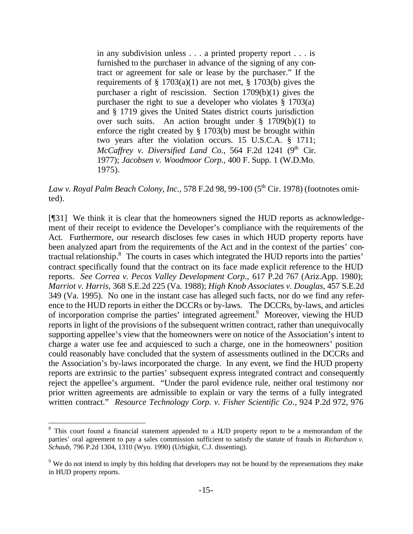in any subdivision unless . . . a printed property report . . . is furnished to the purchaser in advance of the signing of any contract or agreement for sale or lease by the purchaser." If the requirements of  $\S 1703(a)(1)$  are not met,  $\S 1703(b)$  gives the purchaser a right of rescission. Section 1709(b)(1) gives the purchaser the right to sue a developer who violates  $\S$  1703(a) and § 1719 gives the United States district courts jurisdiction over such suits. An action brought under  $\S$  1709(b)(1) to enforce the right created by § 1703(b) must be brought within two years after the violation occurs. 15 U.S.C.A. § 1711;  $McCaffrey$  v. Diversified Land Co., 564 F.2d 1241 ( $9<sup>th</sup>$  Cir. 1977); *Jacobsen v. Woodmoor Corp.,* 400 F. Supp. 1 (W.D.Mo. 1975).

*Law v. Royal Palm Beach Colony, Inc., 578 F.2d 98, 99-100 (5<sup>th</sup> Cir. 1978) (footnotes omit*ted).

[¶31] We think it is clear that the homeowners signed the HUD reports as acknowledgement of their receipt to evidence the Developer's compliance with the requirements of the Act. Furthermore, our research discloses few cases in which HUD property reports have been analyzed apart from the requirements of the Act and in the context of the parties' contractual relationship.<sup>8</sup> The courts in cases which integrated the HUD reports into the parties' contract specifically found that the contract on its face made explicit reference to the HUD reports. *See Correa v. Pecos Valley Development Corp.,* 617 P.2d 767 (Ariz.App. 1980); *Marriot v. Harris,* 368 S.E.2d 225 (Va. 1988); *High Knob Associates v. Douglas,* 457 S.E.2d 349 (Va. 1995). No one in the instant case has alleged such facts, nor do we find any reference to the HUD reports in either the DCCRs or by-laws. The DCCRs, by-laws, and articles of incorporation comprise the parties' integrated agreement.<sup>9</sup> Moreover, viewing the HUD reports in light of the provisions of the subsequent written contract, rather than unequivocally supporting appellee's view that the homeowners were on notice of the Association's intent to charge a water use fee and acquiesced to such a charge, one in the homeowners' position could reasonably have concluded that the system of assessments outlined in the DCCRs and the Association's by-laws incorporated the charge. In any event, we find the HUD property reports are extrinsic to the parties' subsequent express integrated contract and consequently reject the appellee's argument. "Under the parol evidence rule, neither oral testimony nor prior written agreements are admissible to explain or vary the terms of a fully integrated written contract." *Resource Technology Corp. v. Fisher Scientific Co.,* 924 P.2d 972, 976

<sup>&</sup>lt;sup>8</sup> This court found a financial statement appended to a HJD property report to be a memorandum of the parties' oral agreement to pay a sales commission sufficient to satisfy the statute of frauds in *Richardson v. Schaub,* 796 P.2d 1304, 1310 (Wyo. 1990) (Urbigkit, C.J. dissenting).

<sup>&</sup>lt;sup>9</sup> We do not intend to imply by this holding that developers may not be bound by the representations they make in HUD property reports.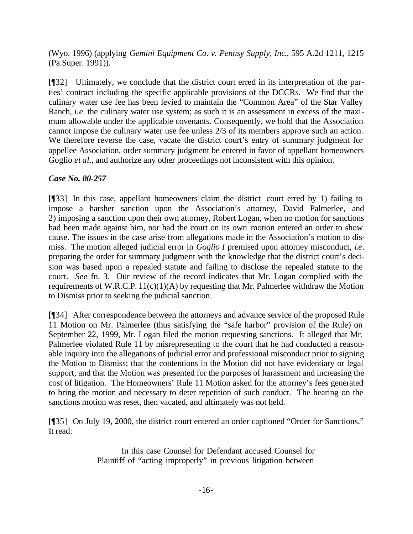(Wyo. 1996) (applying *Gemini Equipment Co. v. Pennsy Supply, Inc*., 595 A.2d 1211, 1215 (Pa.Super. 1991)).

[¶32] Ultimately, we conclude that the district court erred in its interpretation of the parties' contract including the specific applicable provisions of the DCCRs. We find that the culinary water use fee has been levied to maintain the "Common Area" of the Star Valley Ranch, *i.e.* the culinary water use system; as such it is an assessment in excess of the maximum allowable under the applicable covenants. Consequently, we hold that the Association cannot impose the culinary water use fee unless 2/3 of its members approve such an action. We therefore reverse the case, vacate the district court's entry of summary judgment for appellee Association, order summary judgment be entered in favor of appellant homeowners Goglio *et al*., and authorize any other proceedings not inconsistent with this opinion.

## *Case No. 00-257*

[¶33] In this case, appellant homeowners claim the district court erred by 1) failing to impose a harsher sanction upon the Association's attorney, David Palmerlee, and 2) imposing a sanction upon their own attorney, Robert Logan, when no motion for sanctions had been made against him, nor had the court on its own motion entered an order to show cause. The issues in the case arise from allegations made in the Association's motion to dismiss. The motion alleged judicial error in *Goglio I* premised upon attorney misconduct, *i.e*. preparing the order for summary judgment with the knowledge that the district court's decision was based upon a repealed statute and failing to disclose the repealed statute to the court. *See* fn. 3. Our review of the record indicates that Mr. Logan complied with the requirements of W.R.C.P.  $11(c)(1)(A)$  by requesting that Mr. Palmerlee withdraw the Motion to Dismiss prior to seeking the judicial sanction.

[¶34] After correspondence between the attorneys and advance service of the proposed Rule 11 Motion on Mr. Palmerlee (thus satisfying the "safe harbor" provision of the Rule) on September 22, 1999, Mr. Logan filed the motion requesting sanctions. It alleged that Mr. Palmerlee violated Rule 11 by misrepresenting to the court that he had conducted a reasonable inquiry into the allegations of judicial error and professional misconduct prior to signing the Motion to Dismiss; that the contentions in the Motion did not have evidentiary or legal support; and that the Motion was presented for the purposes of harassment and increasing the cost of litigation. The Homeowners' Rule 11 Motion asked for the attorney's fees generated to bring the motion and necessary to deter repetition of such conduct. The hearing on the sanctions motion was reset, then vacated, and ultimately was not held.

[¶35] On July 19, 2000, the district court entered an order captioned "Order for Sanctions." It read:

> In this case Counsel for Defendant accused Counsel for Plaintiff of "acting improperly" in previous litigation between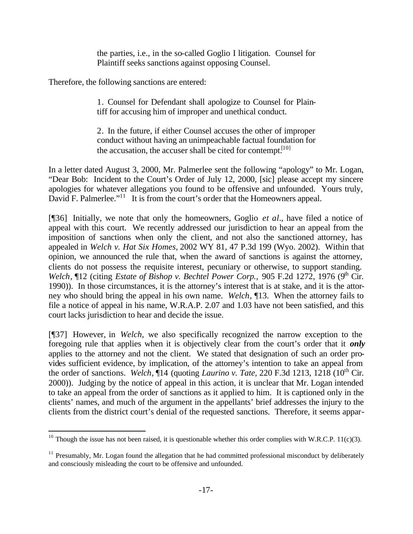the parties, i.e., in the so-called Goglio I litigation. Counsel for Plaintiff seeks sanctions against opposing Counsel.

Therefore, the following sanctions are entered:

l

1. Counsel for Defendant shall apologize to Counsel for Plaintiff for accusing him of improper and unethical conduct.

2. In the future, if either Counsel accuses the other of improper conduct without having an unimpeachable factual foundation for the accusation, the accuser shall be cited for contempt.<sup>[10]</sup>

In a letter dated August 3, 2000, Mr. Palmerlee sent the following "apology" to Mr. Logan, "Dear Bob: Incident to the Court's Order of July 12, 2000, [sic] please accept my sincere apologies for whatever allegations you found to be offensive and unfounded. Yours truly, David F. Palmerlee."<sup>11</sup> It is from the court's order that the Homeowners appeal.

[¶36] Initially, we note that only the homeowners, Goglio *et al.*, have filed a notice of appeal with this court. We recently addressed our jurisdiction to hear an appeal from the imposition of sanctions when only the client, and not also the sanctioned attorney, has appealed in *Welch v. Hat Six Homes,* 2002 WY 81, 47 P.3d 199 (Wyo. 2002). Within that opinion, we announced the rule that, when the award of sanctions is against the attorney, clients do not possess the requisite interest, pecuniary or otherwise, to support standing. *Welch*, ¶12 (citing *Estate of Bishop v. Bechtel Power Corp.*, 905 F.2d 1272, 1976 (9<sup>th</sup> Cir. 1990)). In those circumstances, it is the attorney's interest that is at stake, and it is the attorney who should bring the appeal in his own name. *Welch*, ¶13. When the attorney fails to file a notice of appeal in his name, W.R.A.P. 2.07 and 1.03 have not been satisfied, and this court lacks jurisdiction to hear and decide the issue.

[¶37] However, in *Welch,* we also specifically recognized the narrow exception to the foregoing rule that applies when it is objectively clear from the court's order that it *only* applies to the attorney and not the client. We stated that designation of such an order provides sufficient evidence, by implication, of the attorney's intention to take an appeal from the order of sanctions. *Welch*, ¶14 (quoting *Laurino v. Tate, 220 F.3d 1213, 1218* (10<sup>th</sup> Cir. 2000)). Judging by the notice of appeal in this action, it is unclear that Mr. Logan intended to take an appeal from the order of sanctions as it applied to him. It is captioned only in the clients' names, and much of the argument in the appellants' brief addresses the injury to the clients from the district court's denial of the requested sanctions. Therefore, it seems appar-

<sup>&</sup>lt;sup>10</sup> Though the issue has not been raised, it is questionable whether this order complies with W.R.C.P. 11(c)(3).

 $11$  Presumably, Mr. Logan found the allegation that he had committed professional misconduct by deliberately and consciously misleading the court to be offensive and unfounded.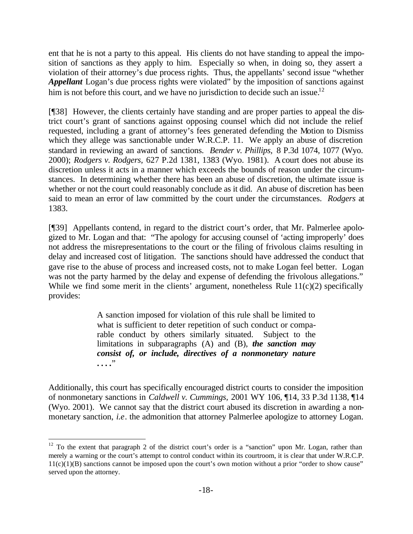ent that he is not a party to this appeal. His clients do not have standing to appeal the imposition of sanctions as they apply to him. Especially so when, in doing so, they assert a violation of their attorney's due process rights. Thus, the appellants' second issue "whether *Appellant* Logan's due process rights were violated" by the imposition of sanctions against him is not before this court, and we have no jurisdiction to decide such an issue.<sup>12</sup>

[¶38] However, the clients certainly have standing and are proper parties to appeal the district court's grant of sanctions against opposing counsel which did not include the relief requested, including a grant of attorney's fees generated defending the Motion to Dismiss which they allege was sanctionable under W.R.C.P. 11. We apply an abuse of discretion standard in reviewing an award of sanctions. *Bender v. Phillips,* 8 P.3d 1074, 1077 (Wyo. 2000); *Rodgers v. Rodgers,* 627 P.2d 1381, 1383 (Wyo. 1981). A court does not abuse its discretion unless it acts in a manner which exceeds the bounds of reason under the circumstances. In determining whether there has been an abuse of discretion, the ultimate issue is whether or not the court could reasonably conclude as it did. An abuse of discretion has been said to mean an error of law committed by the court under the circumstances. *Rodgers* at 1383.

[¶39] Appellants contend, in regard to the district court's order, that Mr. Palmerlee apologized to Mr. Logan and that: "The apology for accusing counsel of 'acting improperly' does not address the misrepresentations to the court or the filing of frivolous claims resulting in delay and increased cost of litigation. The sanctions should have addressed the conduct that gave rise to the abuse of process and increased costs, not to make Logan feel better. Logan was not the party harmed by the delay and expense of defending the frivolous allegations." While we find some merit in the clients' argument, nonetheless Rule  $11(c)(2)$  specifically provides:

> A sanction imposed for violation of this rule shall be limited to what is sufficient to deter repetition of such conduct or comparable conduct by others similarly situated. Subject to the limitations in subparagraphs (A) and (B), *the sanction may consist of, or include, directives of a nonmonetary nature* **. . . .**"

Additionally, this court has specifically encouraged district courts to consider the imposition of nonmonetary sanctions in *Caldwell v. Cummings,* 2001 WY 106, ¶14, 33 P.3d 1138, ¶14 (Wyo. 2001). We cannot say that the district court abused its discretion in awarding a nonmonetary sanction, *i.e*. the admonition that attorney Palmerlee apologize to attorney Logan.

 $12$  To the extent that paragraph 2 of the district court's order is a "sanction" upon Mr. Logan, rather than merely a warning or the court's attempt to control conduct within its courtroom, it is clear that under W.R.C.P.  $11(c)(1)(B)$  sanctions cannot be imposed upon the court's own motion without a prior "order to show cause" served upon the attorney.